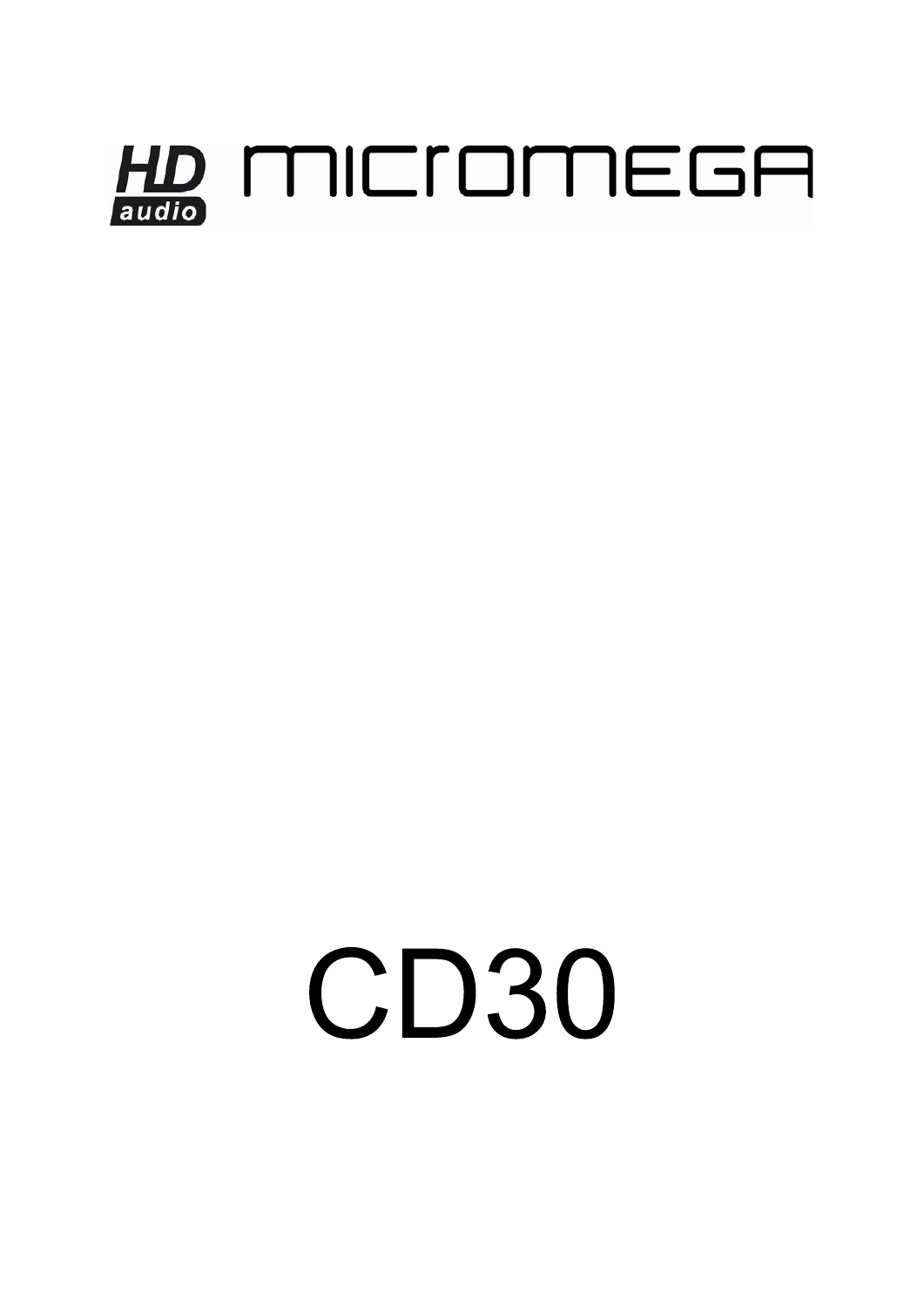## HD MICIOMEGA

# **CD30**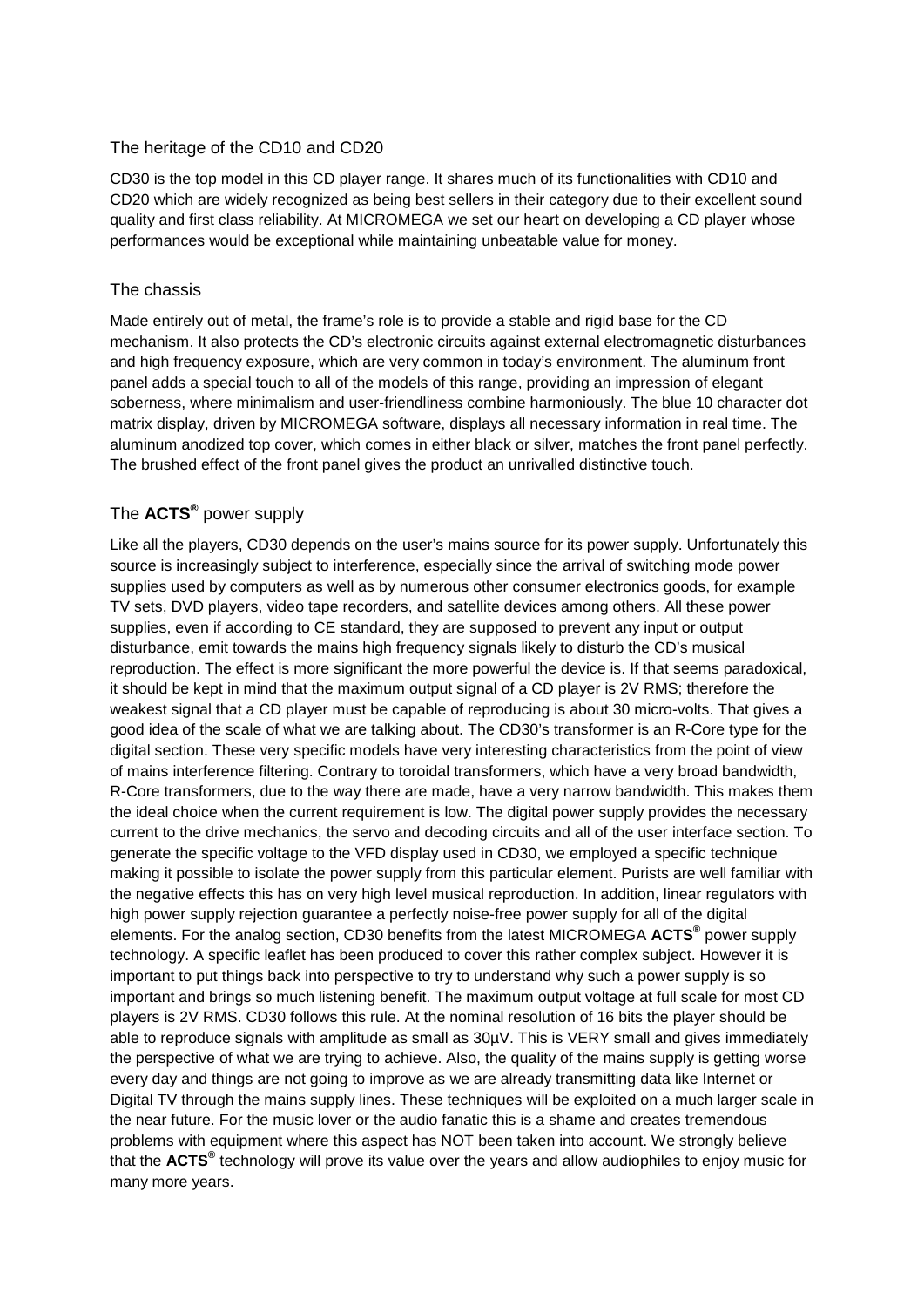### The heritage of the CD10 and CD20

CD30 is the top model in this CD player range. It shares much of its functionalities with CD10 and CD20 which are widely recognized as being best sellers in their category due to their excellent sound quality and first class reliability. At MICROMEGA we set our heart on developing a CD player whose performances would be exceptional while maintaining unbeatable value for money.

### The chassis

Made entirely out of metal, the frame's role is to provide a stable and rigid base for the CD mechanism. It also protects the CD's electronic circuits against external electromagnetic disturbances and high frequency exposure, which are very common in today's environment. The aluminum front panel adds a special touch to all of the models of this range, providing an impression of elegant soberness, where minimalism and user-friendliness combine harmoniously. The blue 10 character dot matrix display, driven by MICROMEGA software, displays all necessary information in real time. The aluminum anodized top cover, which comes in either black or silver, matches the front panel perfectly. The brushed effect of the front panel gives the product an unrivalled distinctive touch.

### The **ACTS®** power supply

Like all the players, CD30 depends on the user's mains source for its power supply. Unfortunately this source is increasingly subject to interference, especially since the arrival of switching mode power supplies used by computers as well as by numerous other consumer electronics goods, for example TV sets, DVD players, video tape recorders, and satellite devices among others. All these power supplies, even if according to CE standard, they are supposed to prevent any input or output disturbance, emit towards the mains high frequency signals likely to disturb the CD's musical reproduction. The effect is more significant the more powerful the device is. If that seems paradoxical, it should be kept in mind that the maximum output signal of a CD player is 2V RMS; therefore the weakest signal that a CD player must be capable of reproducing is about 30 micro-volts. That gives a good idea of the scale of what we are talking about. The CD30's transformer is an R-Core type for the digital section. These very specific models have very interesting characteristics from the point of view of mains interference filtering. Contrary to toroidal transformers, which have a very broad bandwidth, R-Core transformers, due to the way there are made, have a very narrow bandwidth. This makes them the ideal choice when the current requirement is low. The digital power supply provides the necessary current to the drive mechanics, the servo and decoding circuits and all of the user interface section. To generate the specific voltage to the VFD display used in CD30, we employed a specific technique making it possible to isolate the power supply from this particular element. Purists are well familiar with the negative effects this has on very high level musical reproduction. In addition, linear regulators with high power supply rejection guarantee a perfectly noise-free power supply for all of the digital elements. For the analog section, CD30 benefits from the latest MICROMEGA **ACTS®** power supply technology. A specific leaflet has been produced to cover this rather complex subject. However it is important to put things back into perspective to try to understand why such a power supply is so important and brings so much listening benefit. The maximum output voltage at full scale for most CD players is 2V RMS. CD30 follows this rule. At the nominal resolution of 16 bits the player should be able to reproduce signals with amplitude as small as  $30\mu$ V. This is VERY small and gives immediately the perspective of what we are trying to achieve. Also, the quality of the mains supply is getting worse every day and things are not going to improve as we are already transmitting data like Internet or Digital TV through the mains supply lines. These techniques will be exploited on a much larger scale in the near future. For the music lover or the audio fanatic this is a shame and creates tremendous problems with equipment where this aspect has NOT been taken into account. We strongly believe that the **ACTS®** technology will prove its value over the years and allow audiophiles to enjoy music for many more years.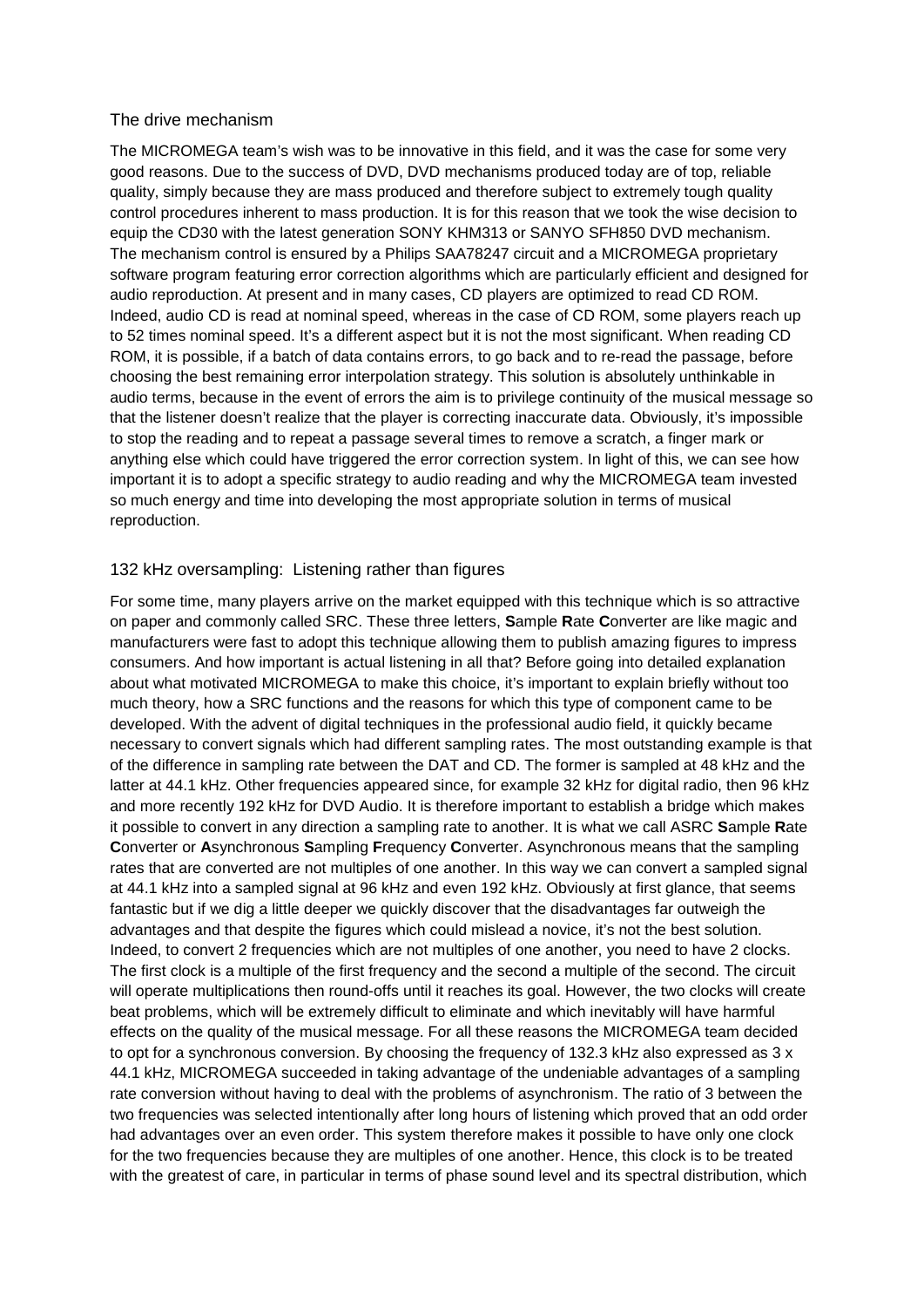### The drive mechanism

The MICROMEGA team's wish was to be innovative in this field, and it was the case for some very good reasons. Due to the success of DVD, DVD mechanisms produced today are of top, reliable quality, simply because they are mass produced and therefore subject to extremely tough quality control procedures inherent to mass production. It is for this reason that we took the wise decision to equip the CD30 with the latest generation SONY KHM313 or SANYO SFH850 DVD mechanism. The mechanism control is ensured by a Philips SAA78247 circuit and a MICROMEGA proprietary software program featuring error correction algorithms which are particularly efficient and designed for audio reproduction. At present and in many cases, CD players are optimized to read CD ROM. Indeed, audio CD is read at nominal speed, whereas in the case of CD ROM, some players reach up to 52 times nominal speed. It's a different aspect but it is not the most significant. When reading CD ROM, it is possible, if a batch of data contains errors, to go back and to re-read the passage, before choosing the best remaining error interpolation strategy. This solution is absolutely unthinkable in audio terms, because in the event of errors the aim is to privilege continuity of the musical message so that the listener doesn't realize that the player is correcting inaccurate data. Obviously, it's impossible to stop the reading and to repeat a passage several times to remove a scratch, a finger mark or anything else which could have triggered the error correction system. In light of this, we can see how important it is to adopt a specific strategy to audio reading and why the MICROMEGA team invested so much energy and time into developing the most appropriate solution in terms of musical reproduction.

### 132 kHz oversampling: Listening rather than figures

For some time, many players arrive on the market equipped with this technique which is so attractive on paper and commonly called SRC. These three letters, **S**ample **R**ate **C**onverter are like magic and manufacturers were fast to adopt this technique allowing them to publish amazing figures to impress consumers. And how important is actual listening in all that? Before going into detailed explanation about what motivated MICROMEGA to make this choice, it's important to explain briefly without too much theory, how a SRC functions and the reasons for which this type of component came to be developed. With the advent of digital techniques in the professional audio field, it quickly became necessary to convert signals which had different sampling rates. The most outstanding example is that of the difference in sampling rate between the DAT and CD. The former is sampled at 48 kHz and the latter at 44.1 kHz. Other frequencies appeared since, for example 32 kHz for digital radio, then 96 kHz and more recently 192 kHz for DVD Audio. It is therefore important to establish a bridge which makes it possible to convert in any direction a sampling rate to another. It is what we call ASRC **S**ample **R**ate **C**onverter or **A**synchronous **S**ampling **F**requency **C**onverter. Asynchronous means that the sampling rates that are converted are not multiples of one another. In this way we can convert a sampled signal at 44.1 kHz into a sampled signal at 96 kHz and even 192 kHz. Obviously at first glance, that seems fantastic but if we dig a little deeper we quickly discover that the disadvantages far outweigh the advantages and that despite the figures which could mislead a novice, it's not the best solution. Indeed, to convert 2 frequencies which are not multiples of one another, you need to have 2 clocks. The first clock is a multiple of the first frequency and the second a multiple of the second. The circuit will operate multiplications then round-offs until it reaches its goal. However, the two clocks will create beat problems, which will be extremely difficult to eliminate and which inevitably will have harmful effects on the quality of the musical message. For all these reasons the MICROMEGA team decided to opt for a synchronous conversion. By choosing the frequency of 132.3 kHz also expressed as 3 x 44.1 kHz, MICROMEGA succeeded in taking advantage of the undeniable advantages of a sampling rate conversion without having to deal with the problems of asynchronism. The ratio of 3 between the two frequencies was selected intentionally after long hours of listening which proved that an odd order had advantages over an even order. This system therefore makes it possible to have only one clock for the two frequencies because they are multiples of one another. Hence, this clock is to be treated with the greatest of care, in particular in terms of phase sound level and its spectral distribution, which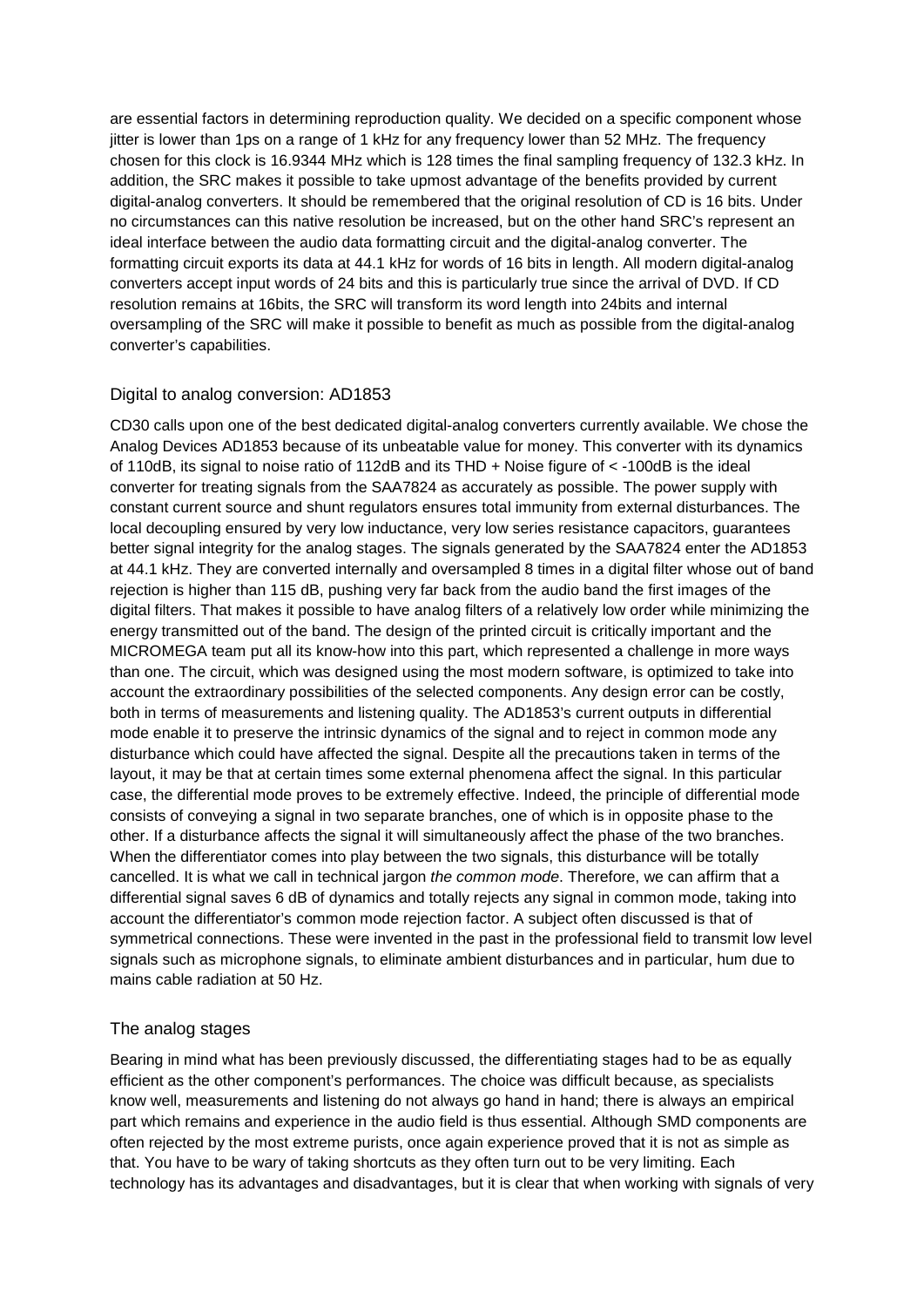are essential factors in determining reproduction quality. We decided on a specific component whose jitter is lower than 1ps on a range of 1 kHz for any frequency lower than 52 MHz. The frequency chosen for this clock is 16.9344 MHz which is 128 times the final sampling frequency of 132.3 kHz. In addition, the SRC makes it possible to take upmost advantage of the benefits provided by current digital-analog converters. It should be remembered that the original resolution of CD is 16 bits. Under no circumstances can this native resolution be increased, but on the other hand SRC's represent an ideal interface between the audio data formatting circuit and the digital-analog converter. The formatting circuit exports its data at 44.1 kHz for words of 16 bits in length. All modern digital-analog converters accept input words of 24 bits and this is particularly true since the arrival of DVD. If CD resolution remains at 16bits, the SRC will transform its word length into 24bits and internal oversampling of the SRC will make it possible to benefit as much as possible from the digital-analog converter's capabilities.

### Digital to analog conversion: AD1853

CD30 calls upon one of the best dedicated digital-analog converters currently available. We chose the Analog Devices AD1853 because of its unbeatable value for money. This converter with its dynamics of 110dB, its signal to noise ratio of 112dB and its THD + Noise figure of < -100dB is the ideal converter for treating signals from the SAA7824 as accurately as possible. The power supply with constant current source and shunt regulators ensures total immunity from external disturbances. The local decoupling ensured by very low inductance, very low series resistance capacitors, guarantees better signal integrity for the analog stages. The signals generated by the SAA7824 enter the AD1853 at 44.1 kHz. They are converted internally and oversampled 8 times in a digital filter whose out of band rejection is higher than 115 dB, pushing very far back from the audio band the first images of the digital filters. That makes it possible to have analog filters of a relatively low order while minimizing the energy transmitted out of the band. The design of the printed circuit is critically important and the MICROMEGA team put all its know-how into this part, which represented a challenge in more ways than one. The circuit, which was designed using the most modern software, is optimized to take into account the extraordinary possibilities of the selected components. Any design error can be costly, both in terms of measurements and listening quality. The AD1853's current outputs in differential mode enable it to preserve the intrinsic dynamics of the signal and to reject in common mode any disturbance which could have affected the signal. Despite all the precautions taken in terms of the layout, it may be that at certain times some external phenomena affect the signal. In this particular case, the differential mode proves to be extremely effective. Indeed, the principle of differential mode consists of conveying a signal in two separate branches, one of which is in opposite phase to the other. If a disturbance affects the signal it will simultaneously affect the phase of the two branches. When the differentiator comes into play between the two signals, this disturbance will be totally cancelled. It is what we call in technical jargon *the common mode*. Therefore, we can affirm that a differential signal saves 6 dB of dynamics and totally rejects any signal in common mode, taking into account the differentiator's common mode rejection factor. A subject often discussed is that of symmetrical connections. These were invented in the past in the professional field to transmit low level signals such as microphone signals, to eliminate ambient disturbances and in particular, hum due to mains cable radiation at 50 Hz.

### The analog stages

Bearing in mind what has been previously discussed, the differentiating stages had to be as equally efficient as the other component's performances. The choice was difficult because, as specialists know well, measurements and listening do not always go hand in hand; there is always an empirical part which remains and experience in the audio field is thus essential. Although SMD components are often rejected by the most extreme purists, once again experience proved that it is not as simple as that. You have to be wary of taking shortcuts as they often turn out to be very limiting. Each technology has its advantages and disadvantages, but it is clear that when working with signals of very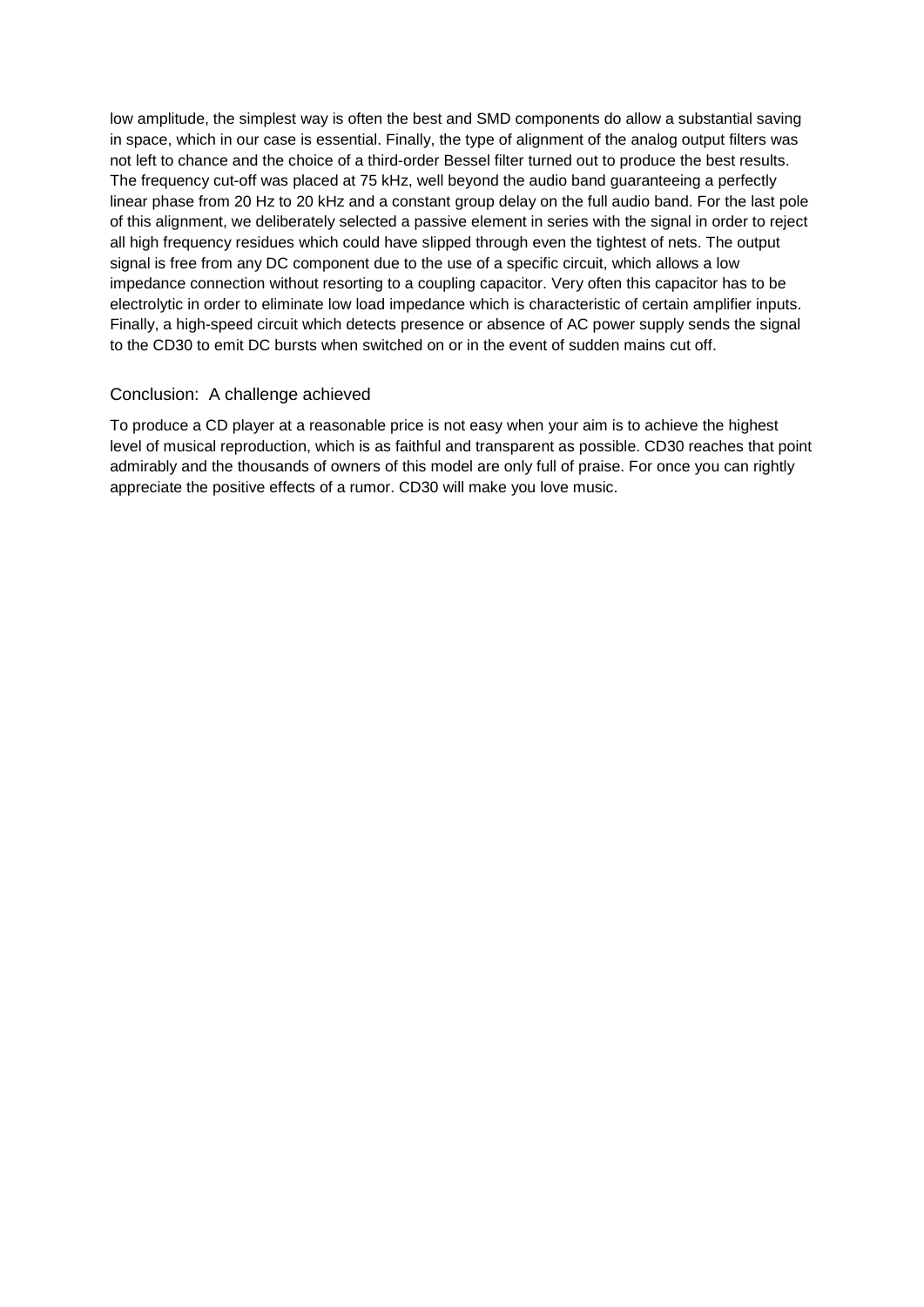low amplitude, the simplest way is often the best and SMD components do allow a substantial saving in space, which in our case is essential. Finally, the type of alignment of the analog output filters was not left to chance and the choice of a third-order Bessel filter turned out to produce the best results. The frequency cut-off was placed at 75 kHz, well beyond the audio band guaranteeing a perfectly linear phase from 20 Hz to 20 kHz and a constant group delay on the full audio band. For the last pole of this alignment, we deliberately selected a passive element in series with the signal in order to reject all high frequency residues which could have slipped through even the tightest of nets. The output signal is free from any DC component due to the use of a specific circuit, which allows a low impedance connection without resorting to a coupling capacitor. Very often this capacitor has to be electrolytic in order to eliminate low load impedance which is characteristic of certain amplifier inputs. Finally, a high-speed circuit which detects presence or absence of AC power supply sends the signal to the CD30 to emit DC bursts when switched on or in the event of sudden mains cut off.

### Conclusion: A challenge achieved

To produce a CD player at a reasonable price is not easy when your aim is to achieve the highest level of musical reproduction, which is as faithful and transparent as possible. CD30 reaches that point admirably and the thousands of owners of this model are only full of praise. For once you can rightly appreciate the positive effects of a rumor. CD30 will make you love music.